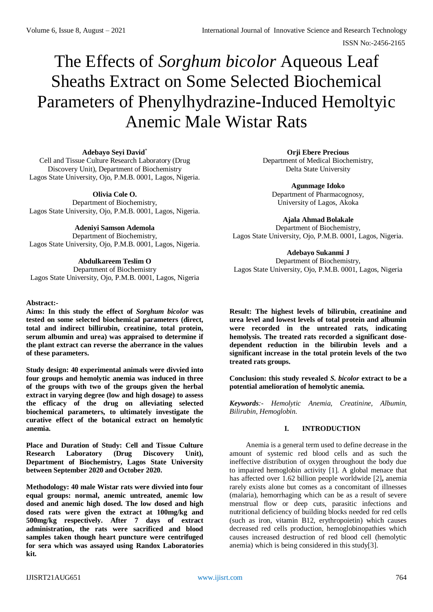# The Effects of *Sorghum bicolor* Aqueous Leaf Sheaths Extract on Some Selected Biochemical Parameters of Phenylhydrazine-Induced Hemoltyic Anemic Male Wistar Rats

**Adebayo Seyi David**\* Cell and Tissue Culture Research Laboratory (Drug Discovery Unit), Department of Biochemistry Lagos State University, Ojo, P.M.B. 0001, Lagos, Nigeria.

**Olivia Cole O.** Department of Biochemistry, Lagos State University, Ojo, P.M.B. 0001, Lagos, Nigeria.

**Adeniyi Samson Ademola** Department of Biochemistry, Lagos State University, Ojo, P.M.B. 0001, Lagos, Nigeria.

## **Abdulkareem Teslim O**

Department of Biochemistry Lagos State University, Ojo, P.M.B. 0001, Lagos, Nigeria

#### **Abstract:-**

**Aims: In this study the effect of** *Sorghum bicolor* **was tested on some selected biochemical parameters (direct, total and indirect billirubin, creatinine, total protein, serum albumin and urea) was appraised to determine if the plant extract can reverse the aberrance in the values of these parameters.**

**Study design: 40 experimental animals were divvied into four groups and hemolytic anemia was induced in three of the groups with two of the groups given the herbal extract in varying degree (low and high dosage) to assess the efficacy of the drug on alleviating selected biochemical parameters, to ultimately investigate the curative effect of the botanical extract on hemolytic anemia.** 

**Place and Duration of Study: Cell and Tissue Culture Research Laboratory (Drug Discovery Unit), Department of Biochemistry, Lagos State University between September 2020 and October 2020.**

**Methodology: 40 male Wistar rats were divvied into four equal groups: normal, anemic untreated, anemic low dosed and anemic high dosed. The low dosed and high dosed rats were given the extract at 100mg/kg and 500mg/kg respectively. After 7 days of extract administration, the rats were sacrificed and blood samples taken though heart puncture were centrifuged for sera which was assayed using Randox Laboratories kit.**

**Orji Ebere Precious** Department of Medical Biochemistry, Delta State University

> **Agunmage Idoko** Department of Pharmacognosy, University of Lagos, Akoka

**Ajala Ahmad Bolakale** Department of Biochemistry, Lagos State University, Ojo, P.M.B. 0001, Lagos, Nigeria.

**Adebayo Sukanmi J** Department of Biochemistry, Lagos State University, Ojo, P.M.B. 0001, Lagos, Nigeria

**Result: The highest levels of bilirubin, creatinine and urea level and lowest levels of total protein and albumin were recorded in the untreated rats, indicating hemolysis. The treated rats recorded a significant dosedependent reduction in the bilirubin levels and a significant increase in the total protein levels of the two treated rats groups.**

**Conclusion: this study revealed** *S. bicolor* **extract to be a potential amelioration of hemolytic anemia.**

*Keywords:- Hemolytic Anemia, Creatinine, Albumin, Bilirubin, Hemoglobin.*

## **I. INTRODUCTION**

Anemia is a general term used to define decrease in the amount of systemic red blood cells and as such the ineffective distribution of oxygen throughout the body due to impaired hemoglobin activity [1]. A global menace that has affected over 1.62 billion people worldwide [2]**,** anemia rarely exists alone but comes as a concomitant of illnesses (malaria), hemorrhaging which can be as a result of severe menstrual flow or deep cuts, parasitic infections and nutritional deficiency of building blocks needed for red cells (such as iron, vitamin B12, erythropoietin) which causes decreased red cells production, hemoglobinopathies which causes increased destruction of red blood cell (hemolytic anemia) which is being considered in this study[3].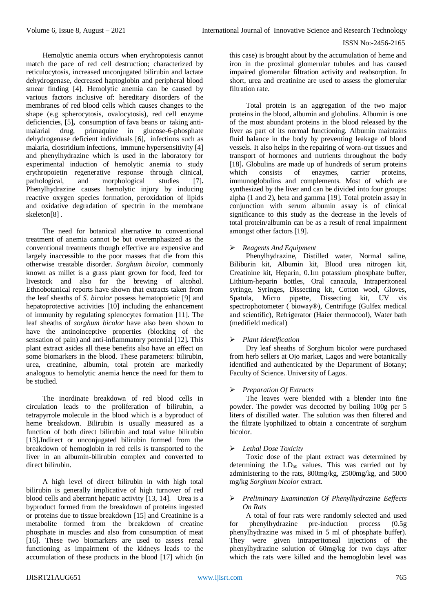Hemolytic anemia occurs when erythropoiesis cannot match the pace of red cell destruction; characterized by reticulocytosis, increased unconjugated bilirubin and lactate dehydrogenase, decreased haptoglobin and peripheral blood smear finding [4]. Hemolytic anemia can be caused by various factors inclusive of: hereditary disorders of the membranes of red blood cells which causes changes to the shape (e.g spherocytosis, ovalocytosis), red cell enzyme deficiencies, [5]**,** consumption of fava beans or taking antimalarial drug, primaquine in glucose-6-phosphate dehydrogenase deficient individuals [6], infections such as malaria, clostridium infections, immune hypersensitivity [4] and phenylhydrazine which is used in the laboratory for experimental induction of hemolytic anemia to study erythropoietin regenerative response through clinical, pathological, and morphological studies [7]. pathological, and morphological studies [7]**.**  Phenylhydrazine causes hemolytic injury by inducing reactive oxygen species formation, peroxidation of lipids and oxidative degradation of spectrin in the membrane skeleton[8] .

The need for botanical alternative to conventional treatment of anemia cannot be but overemphasized as the conventional treatments though effective are expensive and largely inaccessible to the poor masses that die from this otherwise treatable disorder. *Sorghum bicolor,* commonly known as millet is a grass plant grown for food, feed for livestock and also for the brewing of alcohol. Ethnobotanical reports have shown that extracts taken from the leaf sheaths of *S. bicolor* possess hematopoietic [9] and hepatoprotective activities [10] including the enhancement of immunity by regulating splenocytes formation [11]. The leaf sheaths of *sorghum bicolor* have also been shown to have the antinoinceptive properties (blocking of the sensation of pain) and anti-inflammatory potential [12]**.** This plant extract asides all these benefits also have an effect on some biomarkers in the blood. These parameters: bilirubin, urea, creatinine, albumin, total protein are markedly analogous to hemolytic anemia hence the need for them to be studied.

The inordinate breakdown of red blood cells in circulation leads to the proliferation of bilirubin, a tetrapyrrole molecule in the blood which is a byproduct of heme breakdown. Bilirubin is usually measured as a function of both direct bilirubin and total value bilirubin [13]**.**Indirect or unconjugated bilirubin formed from the breakdown of hemoglobin in red cells is transported to the liver in an albumin-bilirubin complex and converted to direct bilirubin.

A high level of direct bilirubin in with high total bilirubin is generally implicative of high turnover of red blood cells and aberrant hepatic activity [13, 14]. Urea is a byproduct formed from the breakdown of proteins ingested or proteins due to tissue breakdown [15] and Creatinine is a metabolite formed from the breakdown of creatine phosphate in muscles and also from consumption of meat [16]. These two biomarkers are used to assess renal functioning as impairment of the kidneys leads to the accumulation of these products in the blood [17] which (in

this case) is brought about by the accumulation of heme and iron in the proximal glomerular tubules and has caused impaired glomerular filtration activity and reabsorption. In short, urea and creatinine are used to assess the glomerular filtration rate.

Total protein is an aggregation of the two major proteins in the blood, albumin and globulins. Albumin is one of the most abundant proteins in the blood released by the liver as part of its normal functioning. Albumin maintains fluid balance in the body by preventing leakage of blood vessels. It also helps in the repairing of worn-out tissues and transport of hormones and nutrients throughout the body [18]. Globulins are made up of hundreds of serum proteins which consists of enzymes, carrier proteins. which consists of enzymes, carrier immunoglobulins and complements. Most of which are synthesized by the liver and can be divided into four groups: alpha (1 and 2), beta and gamma [19]. Total protein assay in conjunction with serum albumin assay is of clinical significance to this study as the decrease in the levels of total protein/albumin can be as a result of renal impairment amongst other factors [19].

# *Reagents And Equipment*

Phenylhydrazine, Distilled water, Normal saline, Biliburin kit, Albumin kit, Blood urea nitrogen kit, Creatinine kit, Heparin, 0.1m potassium phosphate buffer, Lithium-heparin bottles, Oral canacula, Intraperitoneal syringe, Syringes, Dissecting kit, Cotton wool, Gloves, Spatula, Micro pipette, Dissecting kit, UV vis spectrophotometer ( bioway®), Centrifuge (Gulfex medical and scientific), Refrigerator (Haier thermocool), Water bath (medifield medical)

# *Plant Identification*

Dry leaf sheaths of Sorghum bicolor were purchased from herb sellers at Ojo market, Lagos and were botanically identified and authenticated by the Department of Botany; Faculty of Science. University of Lagos.

# *Preparation Of Extracts*

The leaves were blended with a blender into fine powder. The powder was decocted by boiling 100g per 5 liters of distilled water. The solution was then filtered and the filtrate lyophilized to obtain a concentrate of sorghum bicolor.

# *Lethal Dose Toxicity*

Toxic dose of the plant extract was determined by determining the  $LD_{50}$  values. This was carried out by administering to the rats, 800mg/kg, 2500mg/kg, and 5000 mg/kg *Sorghum bicolor* extract.

# *Preliminary Examination Of Phenylhydrazine Eeffects On Rats*

A total of four rats were randomly selected and used for phenylhydrazine pre-induction process (0.5g phenylhydrazine was mixed in 5 ml of phosphate buffer). They were given intraperitoneal injections of the phenylhydrazine solution of 60mg/kg for two days after which the rats were killed and the hemoglobin level was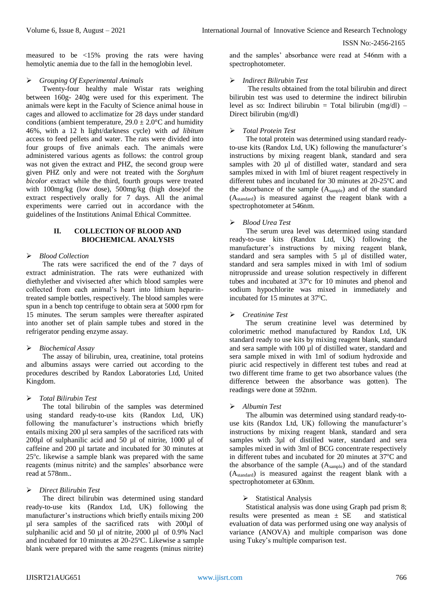measured to be <15% proving the rats were having hemolytic anemia due to the fall in the hemoglobin level.

### *Grouping Of Experimental Animals*

Twenty-four healthy male Wistar rats weighing between 160g- 240g were used for this experiment. The animals were kept in the Faculty of Science animal house in cages and allowed to acclimatize for 28 days under standard conditions (ambient temperature,  $29.0 \pm 2.0^{\circ}$ C and humidity 46%, with a 12 h light/darkness cycle) with *ad libitum*  access to feed pellets and water. The rats were divided into four groups of five animals each. The animals were administered various agents as follows: the control group was not given the extract and PHZ, the second group were given PHZ only and were not treated with the *Sorghum bicolor* extract while the third, fourth groups were treated with 100mg/kg (low dose), 500mg/kg (high dose)of the extract respectively orally for 7 days. All the animal experiments were carried out in accordance with the guidelines of the Institutions Animal Ethical Committee.

#### **II. COLLECTION OF BLOOD AND BIOCHEMICAL ANALYSIS**

#### *Blood Collection*

The rats were sacrificed the end of the 7 days of extract administration. The rats were euthanized with diethylether and vivisected after which blood samples were collected from each animal's heart into lithium heparintreated sample bottles, respectively. The blood samples were spun in a bench top centrifuge to obtain sera at 5000 rpm for 15 minutes. The serum samples were thereafter aspirated into another set of plain sample tubes and stored in the refrigerator pending enzyme assay.

## *Biochemical Assay*

The assay of bilirubin, urea, creatinine, total proteins and albumins assays were carried out according to the procedures described by Randox Laboratories Ltd, United Kingdom.

## *Total Bilirubin Test*

The total bilirubin of the samples was determined using standard ready-to-use kits (Randox Ltd, UK) following the manufacturer's instructions which briefly entails mixing 200 µl sera samples of the sacrificed rats with 200µl of sulphanilic acid and 50 µl of nitrite, 1000 µl of caffeine and 200 µl tartate and incubated for 30 minutes at 25°c. likewise a sample blank was prepared with the same reagents (minus nitrite) and the samples' absorbance were read at 578nm..

## *Direct Bilirubin Test*

The direct bilirubin was determined using standard ready-to-use kits (Randox Ltd, UK) following the manufacturer's instructions which briefly entails mixing 200 µl sera samples of the sacrificed rats with 200µl of sulphanilic acid and 50 µl of nitrite, 2000 µl of 0.9% Nacl and incubated for 10 minutes at 20-25 °C. Likewise a sample blank were prepared with the same reagents (minus nitrite)

and the samples' absorbance were read at 546nm with a spectrophotometer.

### *Indirect Bilirubin Test*

The results obtained from the total bilirubin and direct bilirubin test was used to determine the indirect bilirubin level as so: Indirect bilirubin = Total bilirubin  $(mg/dl)$  – Direct bilirubin (mg/dl)

### *Total Protein Test*

The total protein was determined using standard readyto-use kits (Randox Ltd, UK) following the manufacturer's instructions by mixing reagent blank, standard and sera samples with 20 µl of distilled water, standard and sera samples mixed in with 1ml of biuret reagent respectively in different tubes and incubated for 30 minutes at  $20\n-25^{\circ}\text{C}$  and the absorbance of the sample  $(A_{sample})$  and of the standard (Astandard) is measured against the reagent blank with a spectrophotometer at 546nm.

#### *Blood Urea Test*

The serum urea level was determined using standard ready-to-use kits (Randox Ltd, UK) following the manufacturer's instructions by mixing reagent blank, standard and sera samples with 5 µl of distilled water, standard and sera samples mixed in with 1ml of sodium nitroprusside and urease solution respectively in different tubes and incubated at 37°c for 10 minutes and phenol and sodium hypochlorite was mixed in immediately and incubated for 15 minutes at 37°C.

#### *Creatinine Test*

The serum creatinine level was determined by colorimetric method manufactured by Randox Ltd, UK standard ready to use kits by mixing reagent blank, standard and sera sample with 100 ul of distilled water, standard and sera sample mixed in with 1ml of sodium hydroxide and piuric acid respectively in different test tubes and read at two different time frame to get two absorbance values (the difference between the absorbance was gotten). The readings were done at 592nm.

## *Albumin Test*

The albumin was determined using standard ready-touse kits (Randox Ltd, UK) following the manufacturer's instructions by mixing reagent blank, standard and sera samples with 3µl of distilled water, standard and sera samples mixed in with 3ml of BCG concentrate respectively in different tubes and incubated for 20 minutes at  $37^{\circ}$ C and the absorbance of the sample (Asample) and of the standard (Astandard) is measured against the reagent blank with a spectrophotometer at 630nm.

## $\triangleright$  Statistical Analysis

Statistical analysis was done using Graph pad prism 8; results were presented as mean  $\pm$  SE and statistical evaluation of data was performed using one way analysis of variance (ANOVA) and multiple comparison was done using Tukey's multiple comparison test.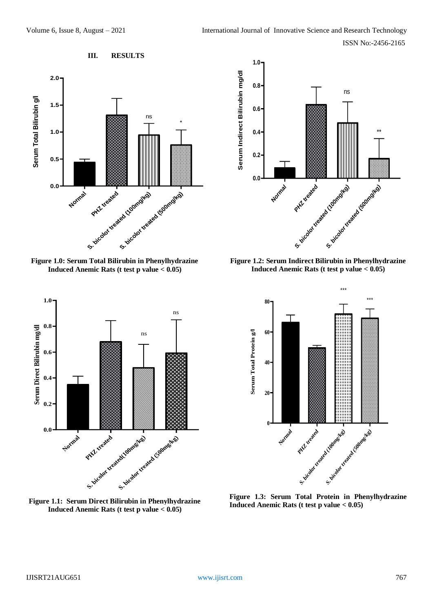

**Figure 1.0: Serum Total Bilirubin in Phenylhydrazine Induced Anemic Rats (t test p value < 0.05)**



**Figure 1.2: Serum Indirect Bilirubin in Phenylhydrazine Induced Anemic Rats (t test p value < 0.05)**







**Figure 1.3: Serum Total Protein in Phenylhydrazine Induced Anemic Rats (t test p value < 0.05)**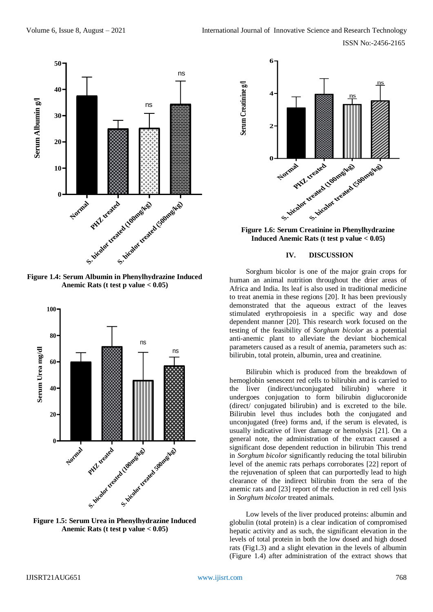

**Figure 1.4: Serum Albumin in Phenylhydrazine Induced Anemic Rats (t test p value < 0.05)**



**Figure 1.5: Serum Urea in Phenylhydrazine Induced Anemic Rats (t test p value < 0.05)**



**Figure 1.6: Serum Creatinine in Phenylhydrazine Induced Anemic Rats (t test p value < 0.05)**

#### **IV. DISCUSSION**

Sorghum bicolor is one of the major grain crops for human an animal nutrition throughout the drier areas of Africa and India. Its leaf is also used in traditional medicine to treat anemia in these regions [20]. It has been previously demonstrated that the aqueous extract of the leaves stimulated erythropoiesis in a specific way and dose dependent manner [20]. This research work focused on the testing of the feasibility of *Sorghum bicolor* as a potential anti-anemic plant to alleviate the deviant biochemical parameters caused as a result of anemia, parameters such as: bilirubin, total protein, albumin, urea and creatinine.

Bilirubin which is produced from the breakdown of hemoglobin senescent red cells to bilirubin and is carried to the liver (indirect/unconjugated bilirubin) where it undergoes conjugation to form bilirubin diglucoronide (direct/ conjugated bilirubin) and is excreted to the bile. Bilirubin level thus includes both the conjugated and unconjugated (free) forms and, if the serum is elevated, is usually indicative of liver damage or hemolysis [21]. On a general note, the administration of the extract caused a significant dose dependent reduction in bilirubin This trend in *Sorghum bicolor* significantly reducing the total bilirubin level of the anemic rats perhaps corroborates [22] report of the rejuvenation of spleen that can purportedly lead to high clearance of the indirect bilirubin from the sera of the anemic rats and [23] report of the reduction in red cell lysis in *Sorghum bicolor* treated animals.

Low levels of the liver produced proteins: albumin and globulin (total protein) is a clear indication of compromised hepatic activity and as such, the significant elevation in the levels of total protein in both the low dosed and high dosed rats (Fig1.3) and a slight elevation in the levels of albumin (Figure 1.4) after administration of the extract shows that